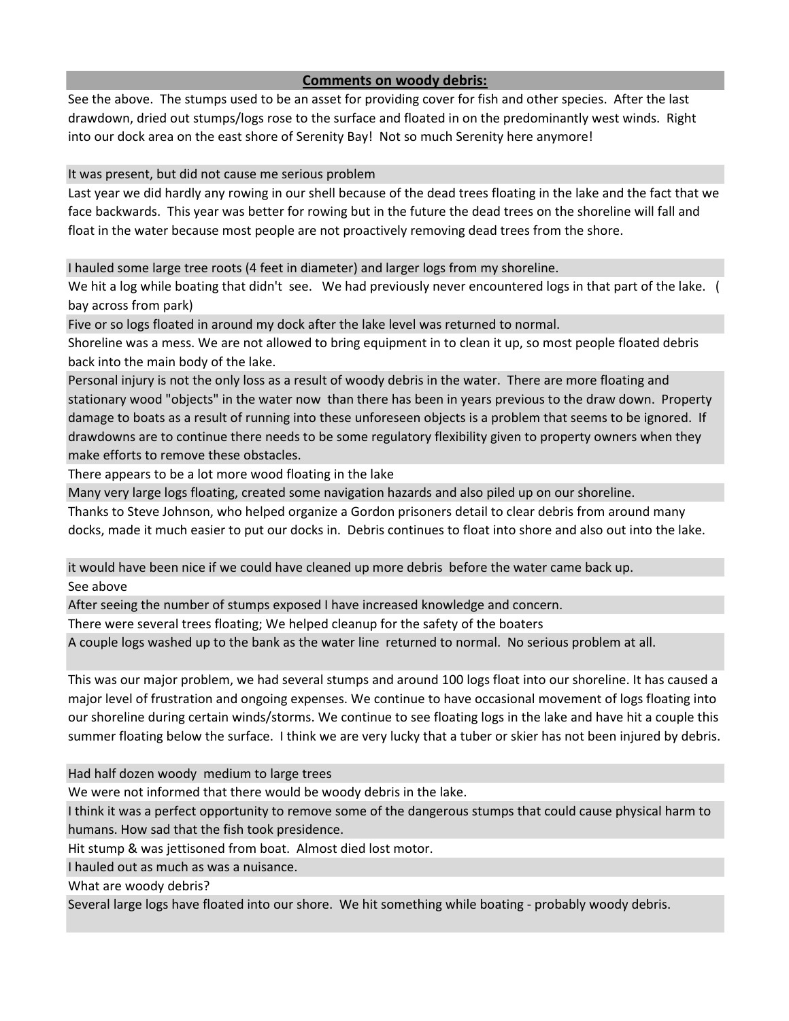## **Comments on woody debris:**

See the above. The stumps used to be an asset for providing cover for fish and other species. After the last drawdown, dried out stumps/logs rose to the surface and floated in on the predominantly west winds. Right into our dock area on the east shore of Serenity Bay! Not so much Serenity here anymore!

It was present, but did not cause me serious problem

Last year we did hardly any rowing in our shell because of the dead trees floating in the lake and the fact that we face backwards. This year was better for rowing but in the future the dead trees on the shoreline will fall and float in the water because most people are not proactively removing dead trees from the shore.

I hauled some large tree roots (4 feet in diameter) and larger logs from my shoreline.

We hit a log while boating that didn't see. We had previously never encountered logs in that part of the lake. ( bay across from park)

Five or so logs floated in around my dock after the lake level was returned to normal.

Shoreline was a mess. We are not allowed to bring equipment in to clean it up, so most people floated debris back into the main body of the lake.

Personal injury is not the only loss as a result of woody debris in the water. There are more floating and stationary wood "objects" in the water now than there has been in years previous to the draw down. Property damage to boats as a result of running into these unforeseen objects is a problem that seems to be ignored. If drawdowns are to continue there needs to be some regulatory flexibility given to property owners when they make efforts to remove these obstacles.

There appears to be a lot more wood floating in the lake

Many very large logs floating, created some navigation hazards and also piled up on our shoreline.

Thanks to Steve Johnson, who helped organize a Gordon prisoners detail to clear debris from around many docks, made it much easier to put our docks in. Debris continues to float into shore and also out into the lake.

it would have been nice if we could have cleaned up more debris before the water came back up.

See above

After seeing the number of stumps exposed I have increased knowledge and concern.

There were several trees floating; We helped cleanup for the safety of the boaters

A couple logs washed up to the bank as the water line returned to normal. No serious problem at all.

This was our major problem, we had several stumps and around 100 logs float into our shoreline. It has caused a major level of frustration and ongoing expenses. We continue to have occasional movement of logs floating into our shoreline during certain winds/storms. We continue to see floating logs in the lake and have hit a couple this summer floating below the surface. I think we are very lucky that a tuber or skier has not been injured by debris.

Had half dozen woody medium to large trees

We were not informed that there would be woody debris in the lake.

I think it was a perfect opportunity to remove some of the dangerous stumps that could cause physical harm to humans. How sad that the fish took presidence.

Hit stump & was jettisoned from boat. Almost died lost motor.

I hauled out as much as was a nuisance.

What are woody debris?

Several large logs have floated into our shore. We hit something while boating - probably woody debris.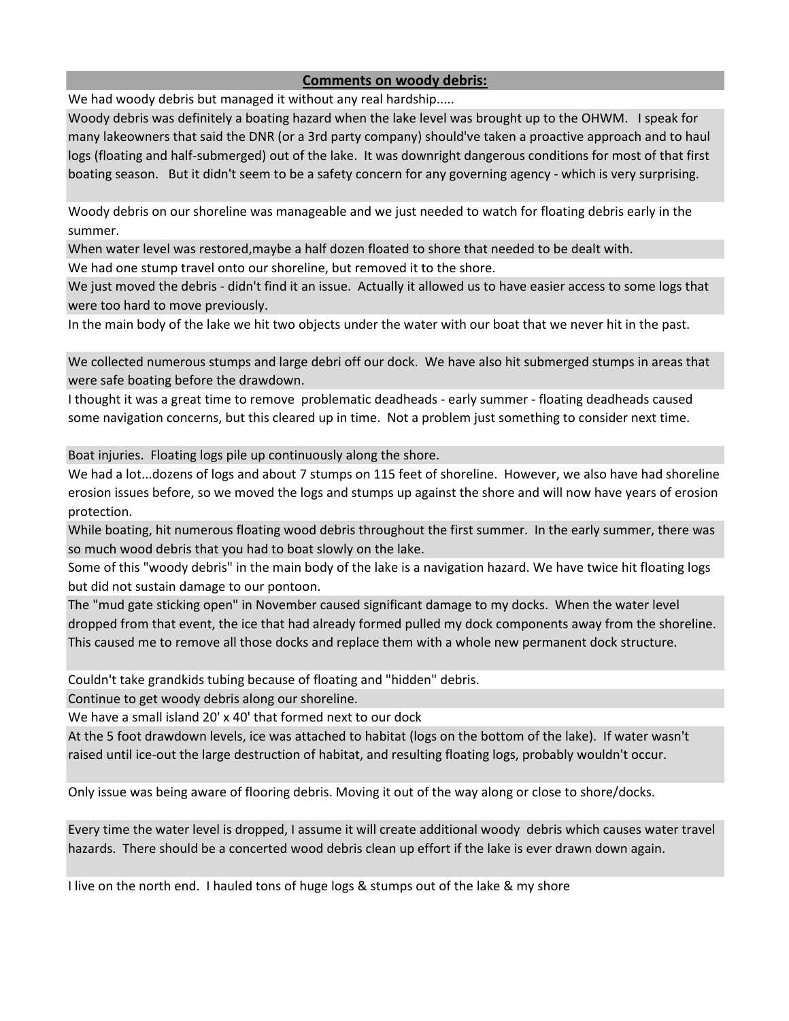## **Comments on woody debris:**

We had woody debris but managed it without any real hardship.....

Woody debris was definitely a boating hazard when the lake level was brought up to the OHWM. I speak for many lakeowners that said the DNR (or a 3rd party company) should've taken a proactive approach and to haul logs (floating and half-submerged) out of the lake. It was downright dangerous conditions for most of that first boating season. But it didn't seem to be a safety concern for any governing agency - which is very surprising.

Woody debris on our shoreline was manageable and we just needed to watch for floating debris early in the summer.

When water level was restored,maybe a half dozen floated to shore that needed to be dealt with.

We had one stump travel onto our shoreline, but removed it to the shore.

We just moved the debris - didn't find it an issue. Actually it allowed us to have easier access to some logs that were too hard to move previously.

In the main body of the lake we hit two objects under the water with our boat that we never hit in the past.

We collected numerous stumps and large debri off our dock. We have also hit submerged stumps in areas that were safe boating before the drawdown.

I thought it was a great time to remove problematic deadheads - early summer - floating deadheads caused some navigation concerns, but this cleared up in time. Not a problem just something to consider next time.

Boat injuries. Floating logs pile up continuously along the shore.

We had a lot...dozens of logs and about 7 stumps on 115 feet of shoreline. However, we also have had shoreline erosion issues before, so we moved the logs and stumps up against the shore and will now have years of erosion protection.

While boating, hit numerous floating wood debris throughout the first summer. In the early summer, there was so much wood debris that you had to boat slowly on the lake.

Some of this "woody debris" in the main body of the lake is a navigation hazard. We have twice hit floating logs but did not sustain damage to our pontoon.

The "mud gate sticking open" in November caused significant damage to my docks. When the water level dropped from that event, the ice that had already formed pulled my dock components away from the shoreline. This caused me to remove all those docks and replace them with a whole new permanent dock structure.

Couldn't take grandkids tubing because of floating and "hidden" debris.

Continue to get woody debris along our shoreline.

We have a small island 20' x 40' that formed next to our dock

At the 5 foot drawdown levels, ice was attached to habitat (logs on the bottom of the lake). If water wasn't raised until ice-out the large destruction of habitat, and resulting floating logs, probably wouldn't occur.

Only issue was being aware of flooring debris. Moving it out of the way along or close to shore/docks.

Every time the water level is dropped, I assume it will create additional woody debris which causes water travel hazards. There should be a concerted wood debris clean up effort if the lake is ever drawn down again.

I live on the north end. I hauled tons of huge logs & stumps out of the lake & my shore